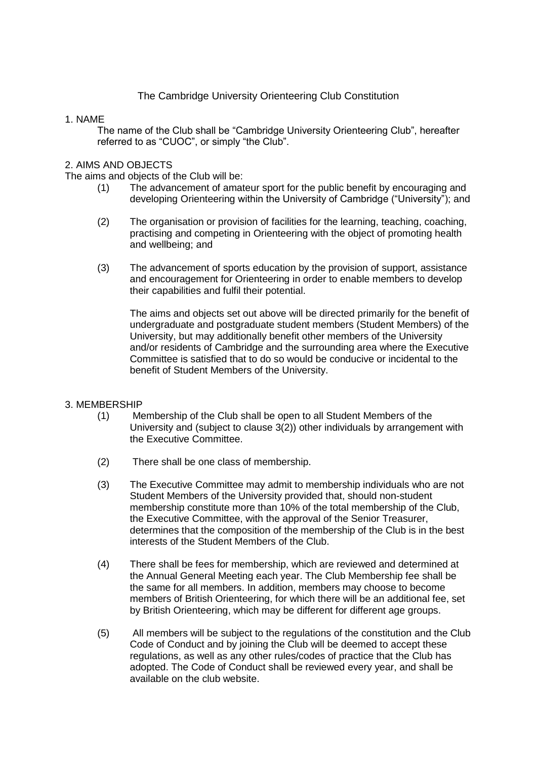# The Cambridge University Orienteering Club Constitution

### 1. NAME

The name of the Club shall be "Cambridge University Orienteering Club", hereafter referred to as "CUOC", or simply "the Club".

### 2. AIMS AND OBJECTS

The aims and objects of the Club will be:

- (1) The advancement of amateur sport for the public benefit by encouraging and developing Orienteering within the University of Cambridge ("University"); and
- (2) The organisation or provision of facilities for the learning, teaching, coaching, practising and competing in Orienteering with the object of promoting health and wellbeing; and
- (3) The advancement of sports education by the provision of support, assistance and encouragement for Orienteering in order to enable members to develop their capabilities and fulfil their potential.

The aims and objects set out above will be directed primarily for the benefit of undergraduate and postgraduate student members (Student Members) of the University, but may additionally benefit other members of the University and/or residents of Cambridge and the surrounding area where the Executive Committee is satisfied that to do so would be conducive or incidental to the benefit of Student Members of the University.

#### 3. MEMBERSHIP

- (1) Membership of the Club shall be open to all Student Members of the University and (subject to clause 3(2)) other individuals by arrangement with the Executive Committee.
- (2) There shall be one class of membership.
- (3) The Executive Committee may admit to membership individuals who are not Student Members of the University provided that, should non-student membership constitute more than 10% of the total membership of the Club, the Executive Committee, with the approval of the Senior Treasurer, determines that the composition of the membership of the Club is in the best interests of the Student Members of the Club.
- (4) There shall be fees for membership, which are reviewed and determined at the Annual General Meeting each year. The Club Membership fee shall be the same for all members. In addition, members may choose to become members of British Orienteering, for which there will be an additional fee, set by British Orienteering, which may be different for different age groups.
- (5) All members will be subject to the regulations of the constitution and the Club Code of Conduct and by joining the Club will be deemed to accept these regulations, as well as any other rules/codes of practice that the Club has adopted. The Code of Conduct shall be reviewed every year, and shall be available on the club website.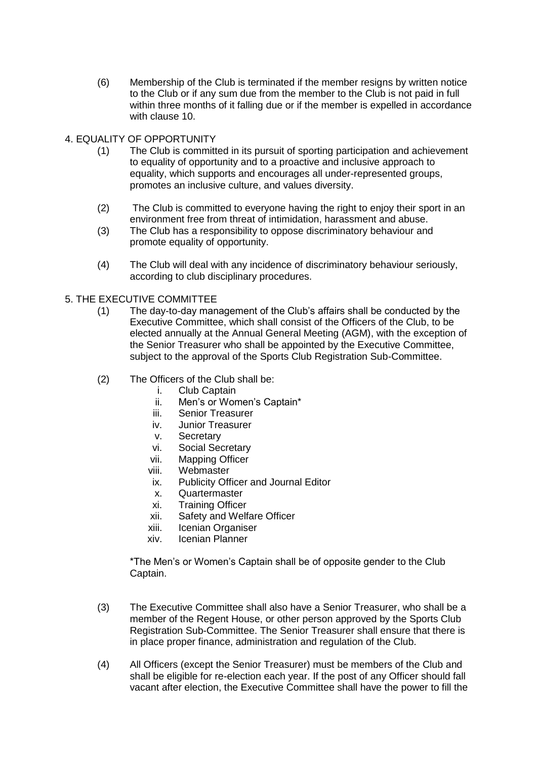- (6) Membership of the Club is terminated if the member resigns by written notice to the Club or if any sum due from the member to the Club is not paid in full within three months of it falling due or if the member is expelled in accordance with clause 10.
- 4. EQUALITY OF OPPORTUNITY
	- (1) The Club is committed in its pursuit of sporting participation and achievement to equality of opportunity and to a proactive and inclusive approach to equality, which supports and encourages all under-represented groups, promotes an inclusive culture, and values diversity.
	- (2) The Club is committed to everyone having the right to enjoy their sport in an environment free from threat of intimidation, harassment and abuse.
	- (3) The Club has a responsibility to oppose discriminatory behaviour and promote equality of opportunity.
	- (4) The Club will deal with any incidence of discriminatory behaviour seriously, according to club disciplinary procedures.
- 5. THE EXECUTIVE COMMITTEE
	- (1) The day-to-day management of the Club's affairs shall be conducted by the Executive Committee, which shall consist of the Officers of the Club, to be elected annually at the Annual General Meeting (AGM), with the exception of the Senior Treasurer who shall be appointed by the Executive Committee, subject to the approval of the Sports Club Registration Sub-Committee.
	- (2) The Officers of the Club shall be:
		- i. Club Captain
		- ii. Men's or Women's Captain\*
		- iii. Senior Treasurer
		- iv. Junior Treasurer
		- v. Secretary
		- vi. Social Secretary
		- vii. Mapping Officer
		- viii. Webmaster
		- ix. Publicity Officer and Journal Editor
		- x. Quartermaster
		- xi. Training Officer
		- xii. Safety and Welfare Officer
		- xiii. Icenian Organiser
		- xiv. Icenian Planner

\*The Men's or Women's Captain shall be of opposite gender to the Club Captain.

- (3) The Executive Committee shall also have a Senior Treasurer, who shall be a member of the Regent House, or other person approved by the Sports Club Registration Sub-Committee. The Senior Treasurer shall ensure that there is in place proper finance, administration and regulation of the Club.
- (4) All Officers (except the Senior Treasurer) must be members of the Club and shall be eligible for re-election each year. If the post of any Officer should fall vacant after election, the Executive Committee shall have the power to fill the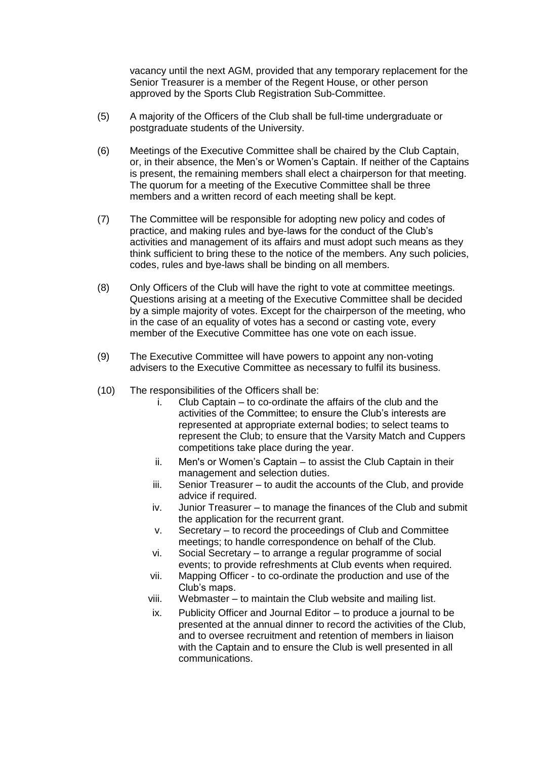vacancy until the next AGM, provided that any temporary replacement for the Senior Treasurer is a member of the Regent House, or other person approved by the Sports Club Registration Sub-Committee.

- (5) A majority of the Officers of the Club shall be full-time undergraduate or postgraduate students of the University.
- (6) Meetings of the Executive Committee shall be chaired by the Club Captain, or, in their absence, the Men's or Women's Captain. If neither of the Captains is present, the remaining members shall elect a chairperson for that meeting. The quorum for a meeting of the Executive Committee shall be three members and a written record of each meeting shall be kept.
- (7) The Committee will be responsible for adopting new policy and codes of practice, and making rules and bye-laws for the conduct of the Club's activities and management of its affairs and must adopt such means as they think sufficient to bring these to the notice of the members. Any such policies, codes, rules and bye-laws shall be binding on all members.
- (8) Only Officers of the Club will have the right to vote at committee meetings. Questions arising at a meeting of the Executive Committee shall be decided by a simple majority of votes. Except for the chairperson of the meeting, who in the case of an equality of votes has a second or casting vote, every member of the Executive Committee has one vote on each issue.
- (9) The Executive Committee will have powers to appoint any non-voting advisers to the Executive Committee as necessary to fulfil its business.
- (10) The responsibilities of the Officers shall be:
	- i. Club Captain to co-ordinate the affairs of the club and the activities of the Committee; to ensure the Club's interests are represented at appropriate external bodies; to select teams to represent the Club; to ensure that the Varsity Match and Cuppers competitions take place during the year.
	- ii. Men's or Women's Captain to assist the Club Captain in their management and selection duties.
	- iii. Senior Treasurer to audit the accounts of the Club, and provide advice if required.
	- iv. Junior Treasurer to manage the finances of the Club and submit the application for the recurrent grant.
	- v. Secretary to record the proceedings of Club and Committee meetings; to handle correspondence on behalf of the Club.
	- vi. Social Secretary to arrange a regular programme of social events; to provide refreshments at Club events when required.
	- vii. Mapping Officer to co-ordinate the production and use of the Club's maps.
	- viii. Webmaster to maintain the Club website and mailing list.
	- ix. Publicity Officer and Journal Editor to produce a journal to be presented at the annual dinner to record the activities of the Club, and to oversee recruitment and retention of members in liaison with the Captain and to ensure the Club is well presented in all communications.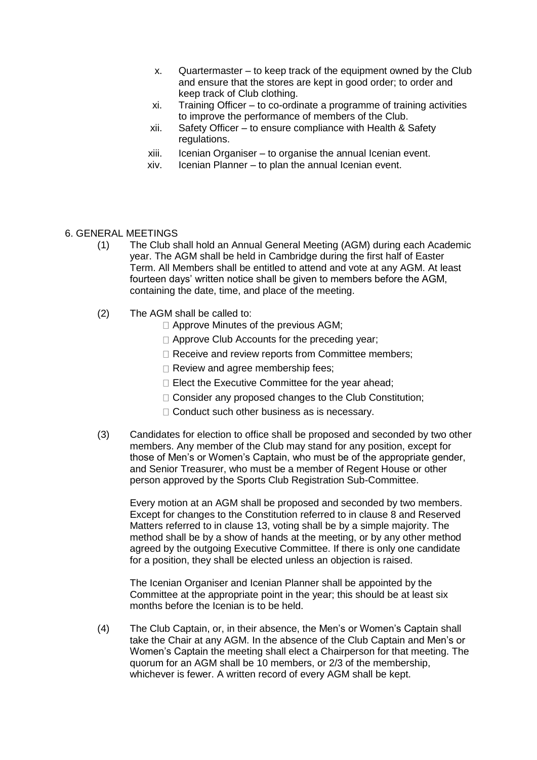- x. Quartermaster to keep track of the equipment owned by the Club and ensure that the stores are kept in good order; to order and keep track of Club clothing.
- xi. Training Officer to co-ordinate a programme of training activities to improve the performance of members of the Club.
- xii. Safety Officer to ensure compliance with Health & Safety regulations.
- xiii. Icenian Organiser to organise the annual Icenian event.
- xiv. Icenian Planner to plan the annual Icenian event.

### 6. GENERAL MEETINGS

- (1) The Club shall hold an Annual General Meeting (AGM) during each Academic year. The AGM shall be held in Cambridge during the first half of Easter Term. All Members shall be entitled to attend and vote at any AGM. At least fourteen days' written notice shall be given to members before the AGM, containing the date, time, and place of the meeting.
- (2) The AGM shall be called to:
	- □ Approve Minutes of the previous AGM;
	- □ Approve Club Accounts for the preceding year;
	- □ Receive and review reports from Committee members;
	- $\Box$  Review and agree membership fees;
	- $\Box$  Elect the Executive Committee for the year ahead;
	- $\Box$  Consider any proposed changes to the Club Constitution;
	- □ Conduct such other business as is necessary.
- (3) Candidates for election to office shall be proposed and seconded by two other members. Any member of the Club may stand for any position, except for those of Men's or Women's Captain, who must be of the appropriate gender, and Senior Treasurer, who must be a member of Regent House or other person approved by the Sports Club Registration Sub-Committee.

Every motion at an AGM shall be proposed and seconded by two members. Except for changes to the Constitution referred to in clause 8 and Reserved Matters referred to in clause 13, voting shall be by a simple majority. The method shall be by a show of hands at the meeting, or by any other method agreed by the outgoing Executive Committee. If there is only one candidate for a position, they shall be elected unless an objection is raised.

The Icenian Organiser and Icenian Planner shall be appointed by the Committee at the appropriate point in the year; this should be at least six months before the Icenian is to be held.

(4) The Club Captain, or, in their absence, the Men's or Women's Captain shall take the Chair at any AGM. In the absence of the Club Captain and Men's or Women's Captain the meeting shall elect a Chairperson for that meeting. The quorum for an AGM shall be 10 members, or 2/3 of the membership, whichever is fewer. A written record of every AGM shall be kept.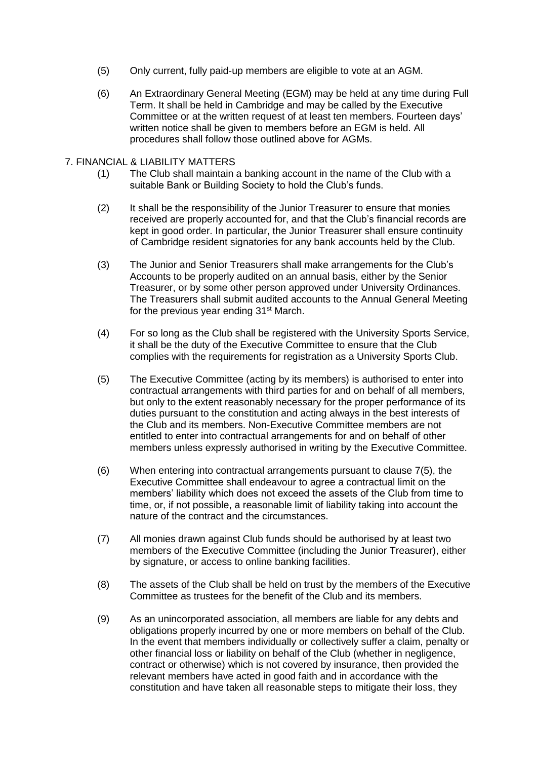- (5) Only current, fully paid-up members are eligible to vote at an AGM.
- (6) An Extraordinary General Meeting (EGM) may be held at any time during Full Term. It shall be held in Cambridge and may be called by the Executive Committee or at the written request of at least ten members. Fourteen days' written notice shall be given to members before an EGM is held. All procedures shall follow those outlined above for AGMs.

#### 7. FINANCIAL & LIABILITY MATTERS

- (1) The Club shall maintain a banking account in the name of the Club with a suitable Bank or Building Society to hold the Club's funds.
- (2) It shall be the responsibility of the Junior Treasurer to ensure that monies received are properly accounted for, and that the Club's financial records are kept in good order. In particular, the Junior Treasurer shall ensure continuity of Cambridge resident signatories for any bank accounts held by the Club.
- (3) The Junior and Senior Treasurers shall make arrangements for the Club's Accounts to be properly audited on an annual basis, either by the Senior Treasurer, or by some other person approved under University Ordinances. The Treasurers shall submit audited accounts to the Annual General Meeting for the previous year ending 31<sup>st</sup> March.
- (4) For so long as the Club shall be registered with the University Sports Service, it shall be the duty of the Executive Committee to ensure that the Club complies with the requirements for registration as a University Sports Club.
- (5) The Executive Committee (acting by its members) is authorised to enter into contractual arrangements with third parties for and on behalf of all members, but only to the extent reasonably necessary for the proper performance of its duties pursuant to the constitution and acting always in the best interests of the Club and its members. Non-Executive Committee members are not entitled to enter into contractual arrangements for and on behalf of other members unless expressly authorised in writing by the Executive Committee.
- (6) When entering into contractual arrangements pursuant to clause 7(5), the Executive Committee shall endeavour to agree a contractual limit on the members' liability which does not exceed the assets of the Club from time to time, or, if not possible, a reasonable limit of liability taking into account the nature of the contract and the circumstances.
- (7) All monies drawn against Club funds should be authorised by at least two members of the Executive Committee (including the Junior Treasurer), either by signature, or access to online banking facilities.
- (8) The assets of the Club shall be held on trust by the members of the Executive Committee as trustees for the benefit of the Club and its members.
- (9) As an unincorporated association, all members are liable for any debts and obligations properly incurred by one or more members on behalf of the Club. In the event that members individually or collectively suffer a claim, penalty or other financial loss or liability on behalf of the Club (whether in negligence, contract or otherwise) which is not covered by insurance, then provided the relevant members have acted in good faith and in accordance with the constitution and have taken all reasonable steps to mitigate their loss, they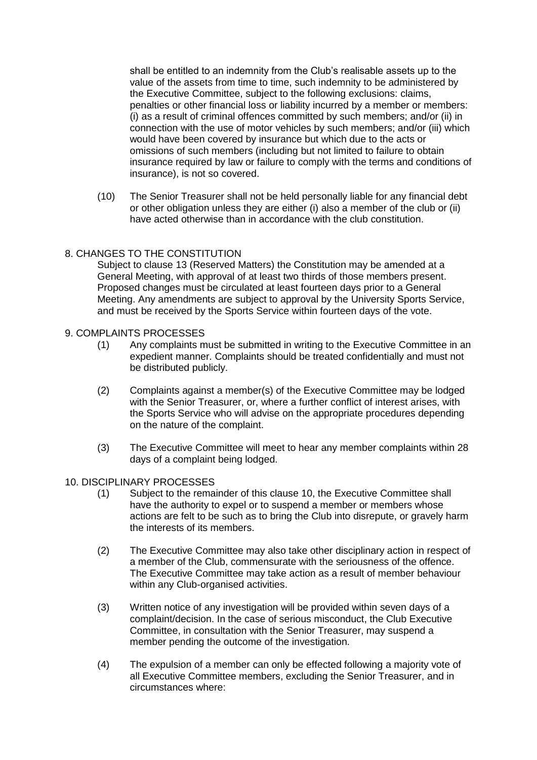shall be entitled to an indemnity from the Club's realisable assets up to the value of the assets from time to time, such indemnity to be administered by the Executive Committee, subject to the following exclusions: claims, penalties or other financial loss or liability incurred by a member or members: (i) as a result of criminal offences committed by such members; and/or (ii) in connection with the use of motor vehicles by such members; and/or (iii) which would have been covered by insurance but which due to the acts or omissions of such members (including but not limited to failure to obtain insurance required by law or failure to comply with the terms and conditions of insurance), is not so covered.

(10) The Senior Treasurer shall not be held personally liable for any financial debt or other obligation unless they are either (i) also a member of the club or (ii) have acted otherwise than in accordance with the club constitution.

## 8. CHANGES TO THE CONSTITUTION

Subject to clause 13 (Reserved Matters) the Constitution may be amended at a General Meeting, with approval of at least two thirds of those members present. Proposed changes must be circulated at least fourteen days prior to a General Meeting. Any amendments are subject to approval by the University Sports Service, and must be received by the Sports Service within fourteen days of the vote.

- 9. COMPLAINTS PROCESSES
	- (1) Any complaints must be submitted in writing to the Executive Committee in an expedient manner. Complaints should be treated confidentially and must not be distributed publicly.
	- (2) Complaints against a member(s) of the Executive Committee may be lodged with the Senior Treasurer, or, where a further conflict of interest arises, with the Sports Service who will advise on the appropriate procedures depending on the nature of the complaint.
	- (3) The Executive Committee will meet to hear any member complaints within 28 days of a complaint being lodged.

#### 10. DISCIPLINARY PROCESSES

- (1) Subject to the remainder of this clause 10, the Executive Committee shall have the authority to expel or to suspend a member or members whose actions are felt to be such as to bring the Club into disrepute, or gravely harm the interests of its members.
- (2) The Executive Committee may also take other disciplinary action in respect of a member of the Club, commensurate with the seriousness of the offence. The Executive Committee may take action as a result of member behaviour within any Club-organised activities.
- (3) Written notice of any investigation will be provided within seven days of a complaint/decision. In the case of serious misconduct, the Club Executive Committee, in consultation with the Senior Treasurer, may suspend a member pending the outcome of the investigation.
- (4) The expulsion of a member can only be effected following a majority vote of all Executive Committee members, excluding the Senior Treasurer, and in circumstances where: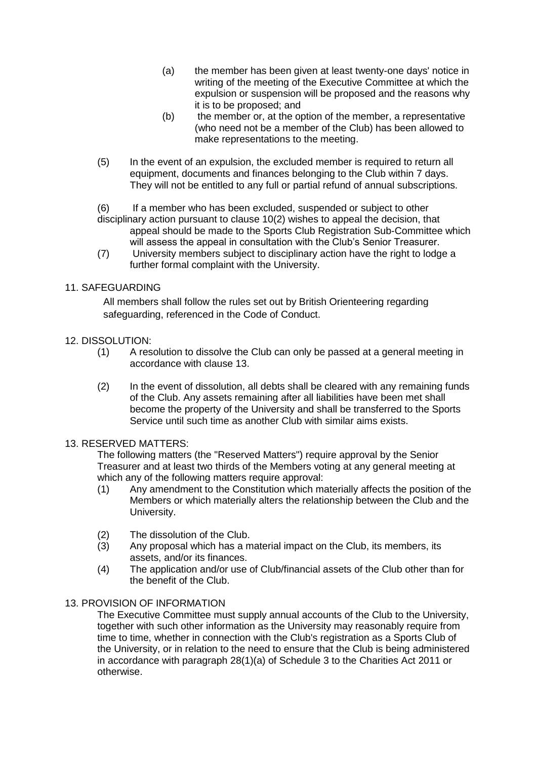- (a) the member has been given at least twenty-one days' notice in writing of the meeting of the Executive Committee at which the expulsion or suspension will be proposed and the reasons why it is to be proposed; and
- $(b)$  the member or, at the option of the member, a representative (who need not be a member of the Club) has been allowed to make representations to the meeting.
- (5) In the event of an expulsion, the excluded member is required to return all equipment, documents and finances belonging to the Club within 7 days. They will not be entitled to any full or partial refund of annual subscriptions.

(6) If a member who has been excluded, suspended or subject to other

- disciplinary action pursuant to clause 10(2) wishes to appeal the decision, that appeal should be made to the Sports Club Registration Sub-Committee which will assess the appeal in consultation with the Club's Senior Treasurer.
- (7) University members subject to disciplinary action have the right to lodge a further formal complaint with the University.

## 11. SAFEGUARDING

All members shall follow the rules set out by British Orienteering regarding safeguarding, referenced in the Code of Conduct.

### 12. DISSOLUTION:

- (1) A resolution to dissolve the Club can only be passed at a general meeting in accordance with clause 13.
- (2) In the event of dissolution, all debts shall be cleared with any remaining funds of the Club. Any assets remaining after all liabilities have been met shall become the property of the University and shall be transferred to the Sports Service until such time as another Club with similar aims exists.

## 13. RESERVED MATTERS:

The following matters (the "Reserved Matters") require approval by the Senior Treasurer and at least two thirds of the Members voting at any general meeting at which any of the following matters require approval:

- (1) Any amendment to the Constitution which materially affects the position of the Members or which materially alters the relationship between the Club and the University.
- (2) The dissolution of the Club.
- (3) Any proposal which has a material impact on the Club, its members, its assets, and/or its finances.
- (4) The application and/or use of Club/financial assets of the Club other than for the benefit of the Club.

## 13. PROVISION OF INFORMATION

The Executive Committee must supply annual accounts of the Club to the University, together with such other information as the University may reasonably require from time to time, whether in connection with the Club's registration as a Sports Club of the University, or in relation to the need to ensure that the Club is being administered in accordance with paragraph 28(1)(a) of Schedule 3 to the Charities Act 2011 or otherwise.